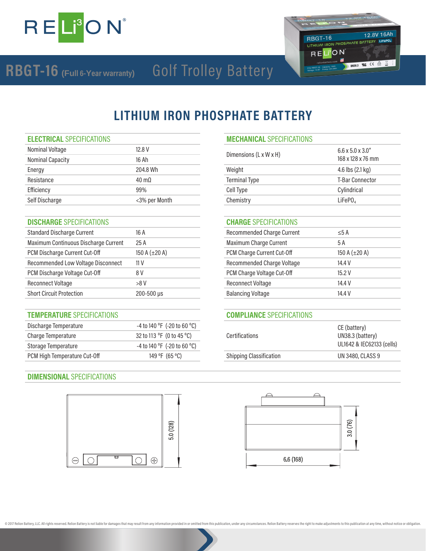

### 12.8V 16Ah RBGT-16 RBGT-16<br>LITHIUM IRON PHOSPHATE BATTERY LIFEPO. RELION **AT CE A E IIN38.3**

## Golf Trolley Battery **RBGT-16 (Full 6-Year warranty)**

## **LITHIUM IRON PHOSPHATE BATTERY**

| Nominal Voltage         | 12.8 V         |                        | $6.6 \times 5.0 \times 3.0$ " |
|-------------------------|----------------|------------------------|-------------------------------|
| <b>Nominal Capacity</b> | 16 Ah          | Dimensions (L x W x H) | 168 x 128 x 76 mm             |
| Energy                  | 204.8 Wh       | Weight                 | 4.6 lbs $(2.1 \text{ kg})$    |
| Resistance              | $40 \text{ m}$ | <b>Terminal Type</b>   | <b>T-Bar Connector</b>        |
| Efficiency              | 99%            | Cell Type              | Cylindrical                   |
| Self Discharge          | <3% per Month  | Chemistry              | LiFePO <sub>4</sub>           |

## **DISCHARGE** SPECIFICATIONS **CHARGE** SPECIFICATIONS

| <b>Standard Discharge Current</b><br>16 A |                    | <b>Recommended Charge Current</b> | $\leq$ 5 A         |
|-------------------------------------------|--------------------|-----------------------------------|--------------------|
| Maximum Continuous Discharge Current      | 25A                | Maximum Charge Current            | 5 A                |
| PCM Discharge Current Cut-Off             | 150 A $(\pm 20$ A) | PCM Charge Current Cut-Off        | 150 A $(\pm 20$ A) |
| Recommended Low Voltage Disconnect        | 11 V               | Recommended Charge Voltage        | 14.4 V             |
| PCM Discharge Voltage Cut-Off             | 8 V                | PCM Charge Voltage Cut-Off        | 15.2V              |
| <b>Reconnect Voltage</b>                  | >8 V               | <b>Reconnect Voltage</b>          | 14.4 V             |
| <b>Short Circuit Protection</b>           | 200-500 µs         | <b>Balancing Voltage</b>          | 14.4 V             |

### **TEMPERATURE** SPECIFICATIONS **COMPLIANCE** SPECIFICATIONS

| Discharge Temperature        | -4 to 140 $^{\circ}$ F (-20 to 60 $^{\circ}$ C) |                                | CE (battery)            |
|------------------------------|-------------------------------------------------|--------------------------------|-------------------------|
| Charge Temperature           | 32 to 113 °F (0 to 45 °C)                       | Certifications                 | UN38.3 (battery)        |
| Storage Temperature          | -4 to 140 °F (-20 to 60 °C)                     |                                | UL1642 & IEC6213        |
| PCM High Temperature Cut-Off | 149 °F (65 °C)                                  | <b>Shipping Classification</b> | <b>UN 3480, CLASS 9</b> |

# **ELECTRICAL** SPECIFICATIONS **MECHANICAL** SPECIFICATIONS Dimensions (L x W x H) 6.6 x 5.0 x 3.0"<br>168 x 128 x 76 mm Terminal Type T-Bar Connector

| Recommended Charge Current | < 5A               |
|----------------------------|--------------------|
| Maximum Charge Current     | 5 A                |
| PCM Charge Current Cut-Off | 150 A $(\pm 20$ A) |
| Recommended Charge Voltage | 14.4 V             |
| PCM Charge Voltage Cut-Off | 15.2 V             |
| <b>Reconnect Voltage</b>   | 14.4 V             |
| <b>Balancing Voltage</b>   | 14.4 V             |

| Certifications          | CE (battery)<br>UN38.3 (battery)<br>UL1642 & IEC62133 (cells) |
|-------------------------|---------------------------------------------------------------|
| Shipping Classification | UN 3480, CLASS 9                                              |
|                         |                                                               |

### **DIMENSIONAL** SPECIFICATIONS





@ 2017 Relion Battery, LLC. All rights reserved. Relion Battery is not liable for damages that may result from any information provided in or omitted from this publication, under any circumstances. Relion Battery reserves